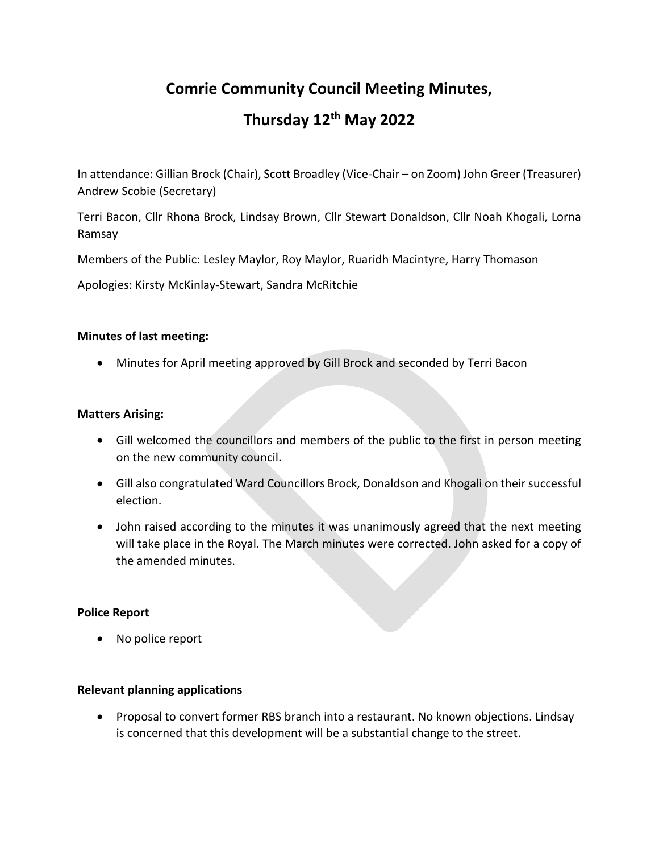# **Comrie Community Council Meeting Minutes,**

# **Thursday 12th May 2022**

In attendance: Gillian Brock (Chair), Scott Broadley (Vice-Chair – on Zoom) John Greer (Treasurer) Andrew Scobie (Secretary)

Terri Bacon, Cllr Rhona Brock, Lindsay Brown, Cllr Stewart Donaldson, Cllr Noah Khogali, Lorna Ramsay

Members of the Public: Lesley Maylor, Roy Maylor, Ruaridh Macintyre, Harry Thomason

Apologies: Kirsty McKinlay-Stewart, Sandra McRitchie

# **Minutes of last meeting:**

• Minutes for April meeting approved by Gill Brock and seconded by Terri Bacon

# **Matters Arising:**

- Gill welcomed the councillors and members of the public to the first in person meeting on the new community council.
- Gill also congratulated Ward Councillors Brock, Donaldson and Khogali on their successful election.
- John raised according to the minutes it was unanimously agreed that the next meeting will take place in the Royal. The March minutes were corrected. John asked for a copy of the amended minutes.

# **Police Report**

• No police report

## **Relevant planning applications**

• Proposal to convert former RBS branch into a restaurant. No known objections. Lindsay is concerned that this development will be a substantial change to the street.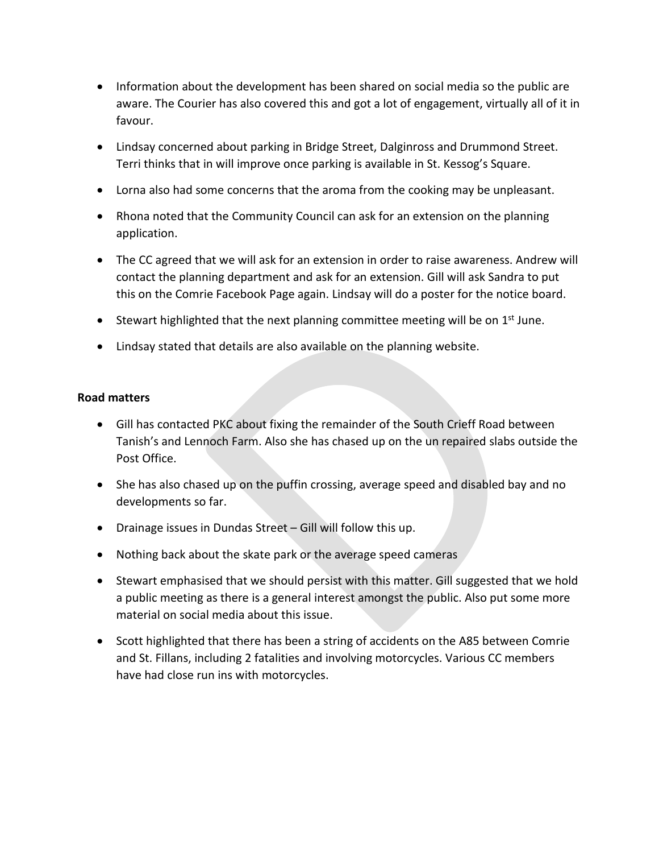- Information about the development has been shared on social media so the public are aware. The Courier has also covered this and got a lot of engagement, virtually all of it in favour.
- Lindsay concerned about parking in Bridge Street, Dalginross and Drummond Street. Terri thinks that in will improve once parking is available in St. Kessog's Square.
- Lorna also had some concerns that the aroma from the cooking may be unpleasant.
- Rhona noted that the Community Council can ask for an extension on the planning application.
- The CC agreed that we will ask for an extension in order to raise awareness. Andrew will contact the planning department and ask for an extension. Gill will ask Sandra to put this on the Comrie Facebook Page again. Lindsay will do a poster for the notice board.
- Stewart highlighted that the next planning committee meeting will be on  $1<sup>st</sup>$  June.
- Lindsay stated that details are also available on the planning website.

# **Road matters**

- Gill has contacted PKC about fixing the remainder of the South Crieff Road between Tanish's and Lennoch Farm. Also she has chased up on the un repaired slabs outside the Post Office.
- She has also chased up on the puffin crossing, average speed and disabled bay and no developments so far.
- Drainage issues in Dundas Street Gill will follow this up.
- Nothing back about the skate park or the average speed cameras
- Stewart emphasised that we should persist with this matter. Gill suggested that we hold a public meeting as there is a general interest amongst the public. Also put some more material on social media about this issue.
- Scott highlighted that there has been a string of accidents on the A85 between Comrie and St. Fillans, including 2 fatalities and involving motorcycles. Various CC members have had close run ins with motorcycles.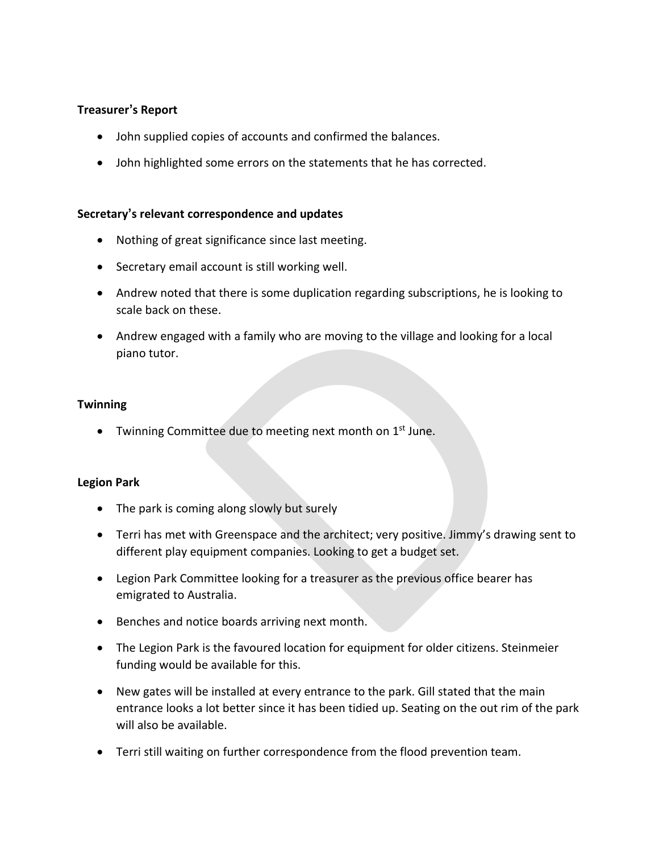# **Treasurer's Report**

- John supplied copies of accounts and confirmed the balances.
- John highlighted some errors on the statements that he has corrected.

#### **Secretary's relevant correspondence and updates**

- Nothing of great significance since last meeting.
- Secretary email account is still working well.
- Andrew noted that there is some duplication regarding subscriptions, he is looking to scale back on these.
- Andrew engaged with a family who are moving to the village and looking for a local piano tutor.

## **Twinning**

• Twinning Committee due to meeting next month on 1<sup>st</sup> June.

## **Legion Park**

- The park is coming along slowly but surely
- Terri has met with Greenspace and the architect; very positive. Jimmy's drawing sent to different play equipment companies. Looking to get a budget set.
- Legion Park Committee looking for a treasurer as the previous office bearer has emigrated to Australia.
- Benches and notice boards arriving next month.
- The Legion Park is the favoured location for equipment for older citizens. Steinmeier funding would be available for this.
- New gates will be installed at every entrance to the park. Gill stated that the main entrance looks a lot better since it has been tidied up. Seating on the out rim of the park will also be available.
- Terri still waiting on further correspondence from the flood prevention team.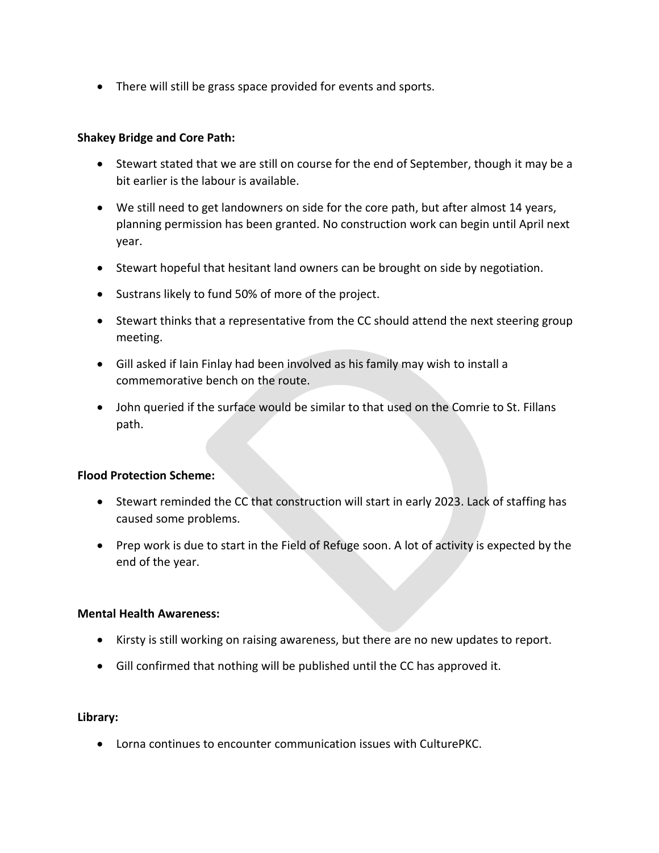• There will still be grass space provided for events and sports.

## **Shakey Bridge and Core Path:**

- Stewart stated that we are still on course for the end of September, though it may be a bit earlier is the labour is available.
- We still need to get landowners on side for the core path, but after almost 14 years, planning permission has been granted. No construction work can begin until April next year.
- Stewart hopeful that hesitant land owners can be brought on side by negotiation.
- Sustrans likely to fund 50% of more of the project.
- Stewart thinks that a representative from the CC should attend the next steering group meeting.
- Gill asked if Iain Finlay had been involved as his family may wish to install a commemorative bench on the route.
- John queried if the surface would be similar to that used on the Comrie to St. Fillans path.

## **Flood Protection Scheme:**

- Stewart reminded the CC that construction will start in early 2023. Lack of staffing has caused some problems.
- Prep work is due to start in the Field of Refuge soon. A lot of activity is expected by the end of the year.

## **Mental Health Awareness:**

- Kirsty is still working on raising awareness, but there are no new updates to report.
- Gill confirmed that nothing will be published until the CC has approved it.

# **Library:**

• Lorna continues to encounter communication issues with CulturePKC.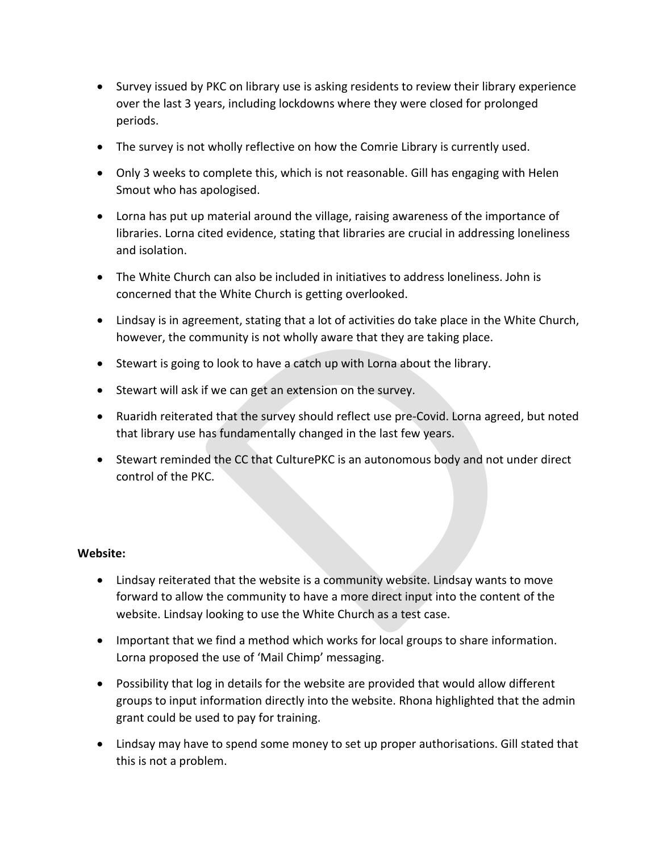- Survey issued by PKC on library use is asking residents to review their library experience over the last 3 years, including lockdowns where they were closed for prolonged periods.
- The survey is not wholly reflective on how the Comrie Library is currently used.
- Only 3 weeks to complete this, which is not reasonable. Gill has engaging with Helen Smout who has apologised.
- Lorna has put up material around the village, raising awareness of the importance of libraries. Lorna cited evidence, stating that libraries are crucial in addressing loneliness and isolation.
- The White Church can also be included in initiatives to address loneliness. John is concerned that the White Church is getting overlooked.
- Lindsay is in agreement, stating that a lot of activities do take place in the White Church, however, the community is not wholly aware that they are taking place.
- Stewart is going to look to have a catch up with Lorna about the library.
- Stewart will ask if we can get an extension on the survey.
- Ruaridh reiterated that the survey should reflect use pre-Covid. Lorna agreed, but noted that library use has fundamentally changed in the last few years.
- Stewart reminded the CC that CulturePKC is an autonomous body and not under direct control of the PKC.

## **Website:**

- Lindsay reiterated that the website is a community website. Lindsay wants to move forward to allow the community to have a more direct input into the content of the website. Lindsay looking to use the White Church as a test case.
- Important that we find a method which works for local groups to share information. Lorna proposed the use of 'Mail Chimp' messaging.
- Possibility that log in details for the website are provided that would allow different groups to input information directly into the website. Rhona highlighted that the admin grant could be used to pay for training.
- Lindsay may have to spend some money to set up proper authorisations. Gill stated that this is not a problem.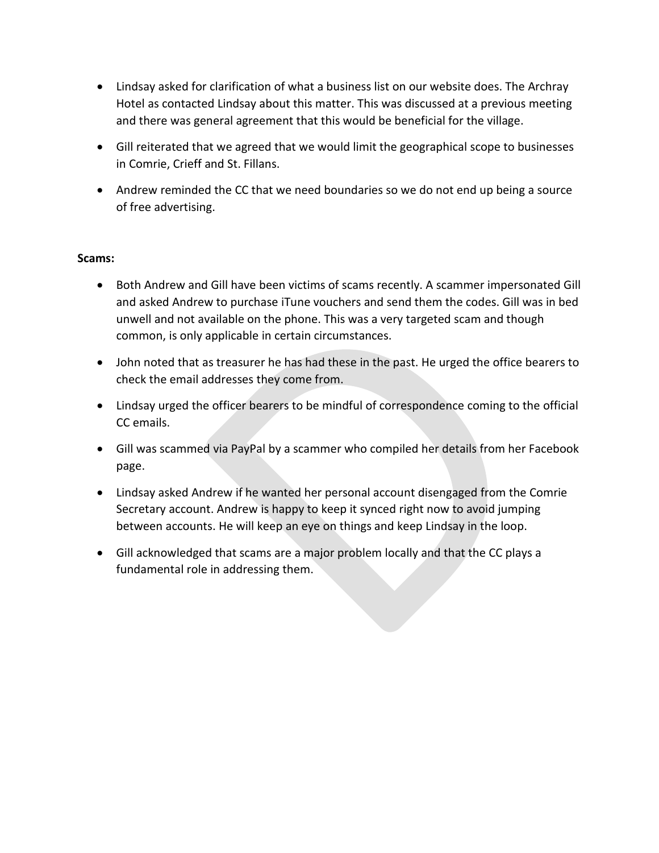- Lindsay asked for clarification of what a business list on our website does. The Archray Hotel as contacted Lindsay about this matter. This was discussed at a previous meeting and there was general agreement that this would be beneficial for the village.
- Gill reiterated that we agreed that we would limit the geographical scope to businesses in Comrie, Crieff and St. Fillans.
- Andrew reminded the CC that we need boundaries so we do not end up being a source of free advertising.

## **Scams:**

- Both Andrew and Gill have been victims of scams recently. A scammer impersonated Gill and asked Andrew to purchase iTune vouchers and send them the codes. Gill was in bed unwell and not available on the phone. This was a very targeted scam and though common, is only applicable in certain circumstances.
- John noted that as treasurer he has had these in the past. He urged the office bearers to check the email addresses they come from.
- Lindsay urged the officer bearers to be mindful of correspondence coming to the official CC emails.
- Gill was scammed via PayPal by a scammer who compiled her details from her Facebook page.
- Lindsay asked Andrew if he wanted her personal account disengaged from the Comrie Secretary account. Andrew is happy to keep it synced right now to avoid jumping between accounts. He will keep an eye on things and keep Lindsay in the loop.
- Gill acknowledged that scams are a major problem locally and that the CC plays a fundamental role in addressing them.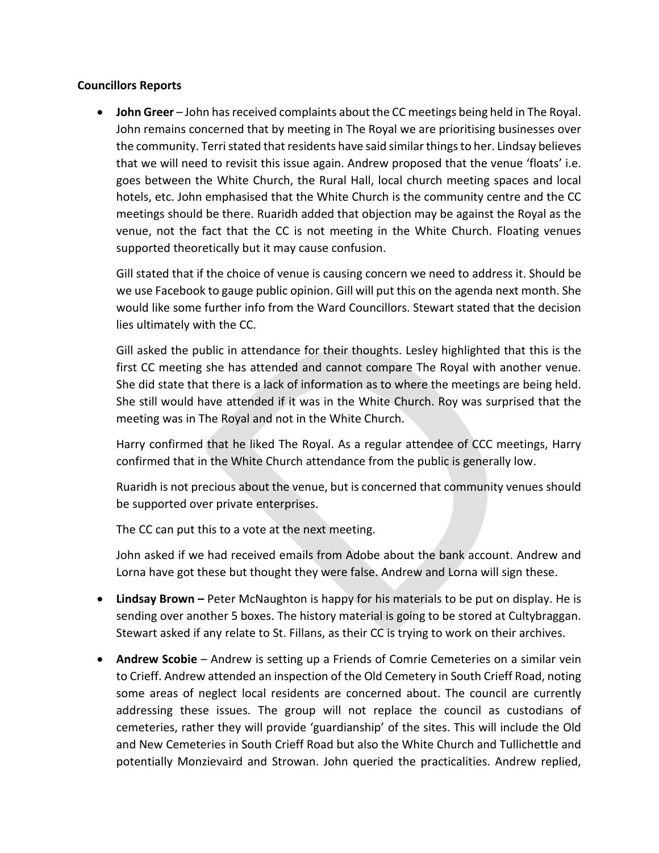## **Councillors Reports**

**John Greer** – John has received complaints about the CC meetings being held in The Royal. John remains concerned that by meeting in The Royal we are prioritising businesses over the community. Terri stated that residents have said similar things to her. Lindsay believes that we will need to revisit this issue again. Andrew proposed that the venue 'floats' i.e. goes between the White Church, the Rural Hall, local church meeting spaces and local hotels, etc. John emphasised that the White Church is the community centre and the CC meetings should be there. Ruaridh added that objection may be against the Royal as the venue, not the fact that the CC is not meeting in the White Church. Floating venues supported theoretically but it may cause confusion.

Gill stated that if the choice of venue is causing concern we need to address it. Should be we use Facebook to gauge public opinion. Gill will put this on the agenda next month. She would like some further info from the Ward Councillors. Stewart stated that the decision lies ultimately with the CC.

Gill asked the public in attendance for their thoughts. Lesley highlighted that this is the first CC meeting she has attended and cannot compare The Royal with another venue. She did state that there is a lack of information as to where the meetings are being held. She still would have attended if it was in the White Church. Roy was surprised that the meeting was in The Royal and not in the White Church.

Harry confirmed that he liked The Royal. As a regular attendee of CCC meetings, Harry confirmed that in the White Church attendance from the public is generally low.

Ruaridh is not precious about the venue, but is concerned that community venues should be supported over private enterprises.

The CC can put this to a vote at the next meeting.

John asked if we had received emails from Adobe about the bank account. Andrew and Lorna have got these but thought they were false. Andrew and Lorna will sign these.

- **Lindsay Brown –** Peter McNaughton is happy for his materials to be put on display. He is sending over another 5 boxes. The history material is going to be stored at Cultybraggan. Stewart asked if any relate to St. Fillans, as their CC is trying to work on their archives.
- **Andrew Scobie** Andrew is setting up a Friends of Comrie Cemeteries on a similar vein to Crieff. Andrew attended an inspection of the Old Cemetery in South Crieff Road, noting some areas of neglect local residents are concerned about. The council are currently addressing these issues. The group will not replace the council as custodians of cemeteries, rather they will provide 'guardianship' of the sites. This will include the Old and New Cemeteries in South Crieff Road but also the White Church and Tullichettle and potentially Monzievaird and Strowan. John queried the practicalities. Andrew replied,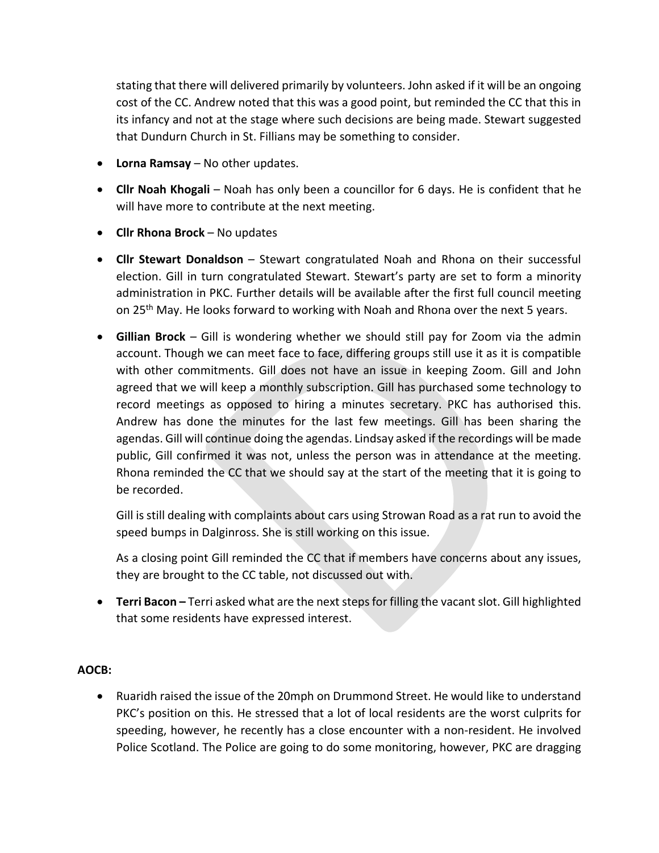stating that there will delivered primarily by volunteers. John asked if it will be an ongoing cost of the CC. Andrew noted that this was a good point, but reminded the CC that this in its infancy and not at the stage where such decisions are being made. Stewart suggested that Dundurn Church in St. Fillians may be something to consider.

- **Lorna Ramsay** No other updates.
- **Cllr Noah Khogali** Noah has only been a councillor for 6 days. He is confident that he will have more to contribute at the next meeting.
- **Cllr Rhona Brock** No updates
- **Cllr Stewart Donaldson** Stewart congratulated Noah and Rhona on their successful election. Gill in turn congratulated Stewart. Stewart's party are set to form a minority administration in PKC. Further details will be available after the first full council meeting on 25<sup>th</sup> May. He looks forward to working with Noah and Rhona over the next 5 years.
- **Gillian Brock** Gill is wondering whether we should still pay for Zoom via the admin account. Though we can meet face to face, differing groups still use it as it is compatible with other commitments. Gill does not have an issue in keeping Zoom. Gill and John agreed that we will keep a monthly subscription. Gill has purchased some technology to record meetings as opposed to hiring a minutes secretary. PKC has authorised this. Andrew has done the minutes for the last few meetings. Gill has been sharing the agendas. Gill will continue doing the agendas. Lindsay asked if the recordings will be made public, Gill confirmed it was not, unless the person was in attendance at the meeting. Rhona reminded the CC that we should say at the start of the meeting that it is going to be recorded.

Gill is still dealing with complaints about cars using Strowan Road as a rat run to avoid the speed bumps in Dalginross. She is still working on this issue.

As a closing point Gill reminded the CC that if members have concerns about any issues, they are brought to the CC table, not discussed out with.

**• Terri Bacon** – Terri asked what are the next steps for filling the vacant slot. Gill highlighted that some residents have expressed interest.

# **AOCB:**

• Ruaridh raised the issue of the 20mph on Drummond Street. He would like to understand PKC's position on this. He stressed that a lot of local residents are the worst culprits for speeding, however, he recently has a close encounter with a non-resident. He involved Police Scotland. The Police are going to do some monitoring, however, PKC are dragging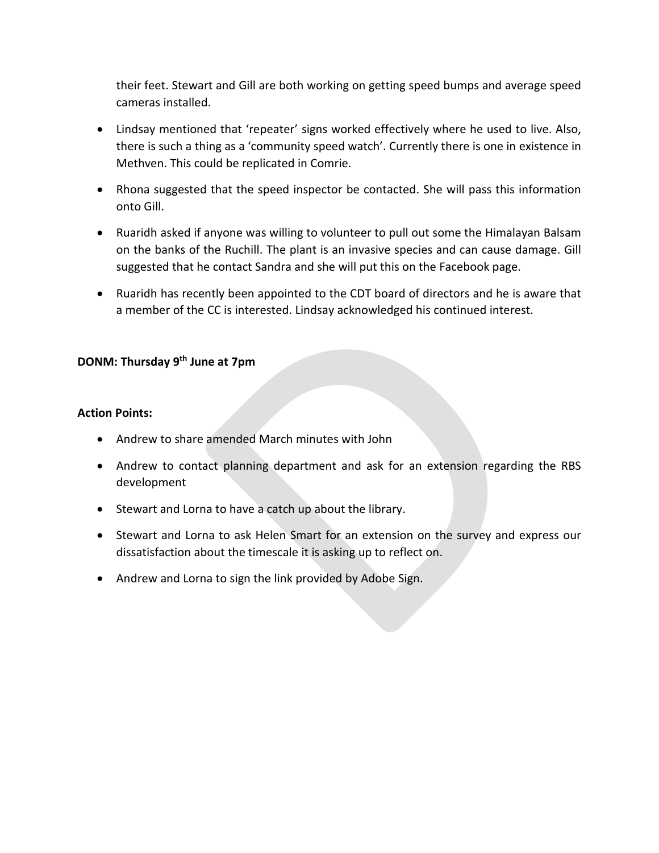their feet. Stewart and Gill are both working on getting speed bumps and average speed cameras installed.

- Lindsay mentioned that 'repeater' signs worked effectively where he used to live. Also, there is such a thing as a 'community speed watch'. Currently there is one in existence in Methven. This could be replicated in Comrie.
- Rhona suggested that the speed inspector be contacted. She will pass this information onto Gill.
- Ruaridh asked if anyone was willing to volunteer to pull out some the Himalayan Balsam on the banks of the Ruchill. The plant is an invasive species and can cause damage. Gill suggested that he contact Sandra and she will put this on the Facebook page.
- Ruaridh has recently been appointed to the CDT board of directors and he is aware that a member of the CC is interested. Lindsay acknowledged his continued interest.

# **DONM: Thursday 9 th June at 7pm**

## **Action Points:**

- Andrew to share amended March minutes with John
- Andrew to contact planning department and ask for an extension regarding the RBS development
- Stewart and Lorna to have a catch up about the library.
- Stewart and Lorna to ask Helen Smart for an extension on the survey and express our dissatisfaction about the timescale it is asking up to reflect on.
- Andrew and Lorna to sign the link provided by Adobe Sign.